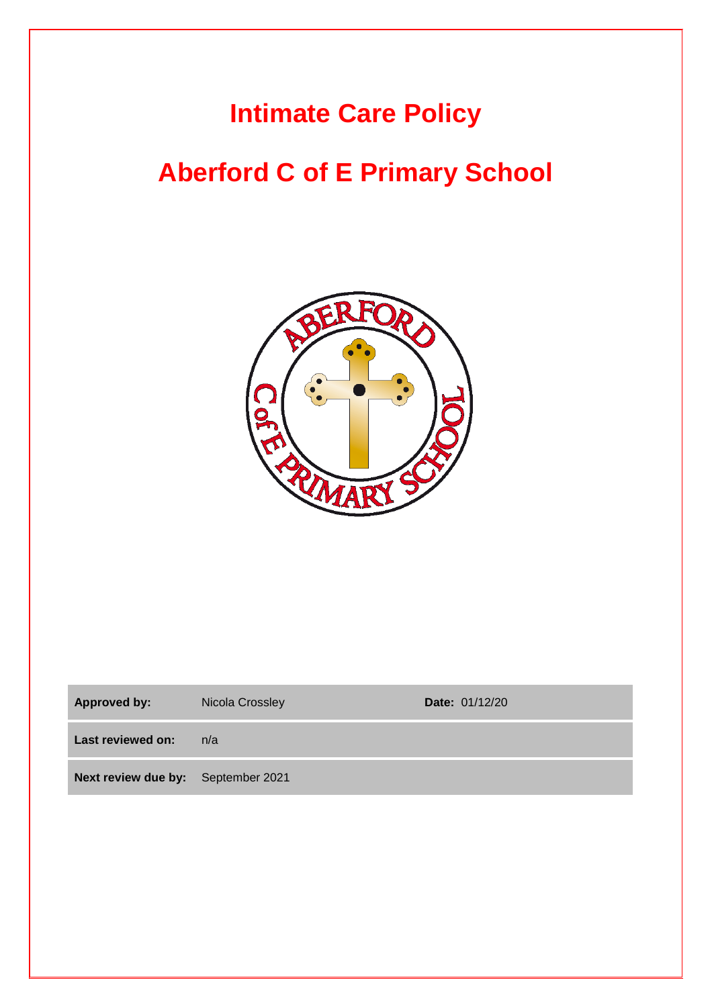## **Intimate Care Policy**

# **Aberford C of E Primary School**



| <b>Approved by:</b>                | Nicola Crossley | <b>Date: 01/12/20</b> |
|------------------------------------|-----------------|-----------------------|
| Last reviewed on:                  | n/a             |                       |
| Next review due by: September 2021 |                 |                       |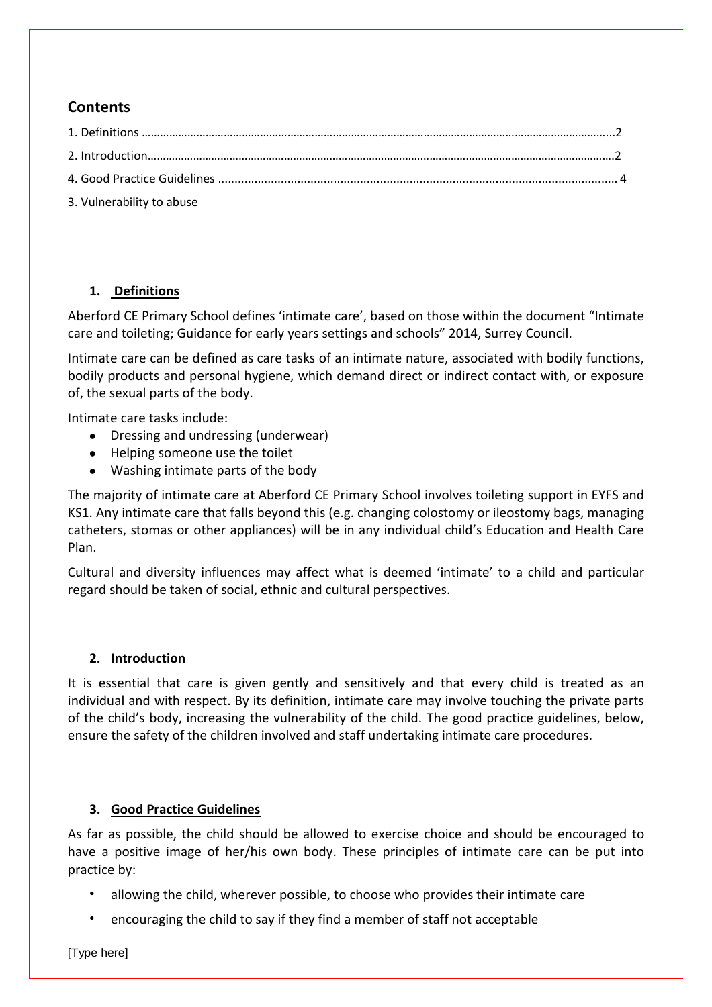## **Contents**

| 3. Vulnerability to abuse |  |
|---------------------------|--|

### **1. Definitions**

Aberford CE Primary School defines 'intimate care', based on those within the document "Intimate care and toileting; Guidance for early years settings and schools" 2014, Surrey Council.

Intimate care can be defined as care tasks of an intimate nature, associated with bodily functions, bodily products and personal hygiene, which demand direct or indirect contact with, or exposure of, the sexual parts of the body.

Intimate care tasks include:

- Dressing and undressing (underwear)
- Helping someone use the toilet
- Washing intimate parts of the body

The majority of intimate care at Aberford CE Primary School involves toileting support in EYFS and KS1. Any intimate care that falls beyond this (e.g. changing colostomy or ileostomy bags, managing catheters, stomas or other appliances) will be in any individual child's Education and Health Care Plan.

Cultural and diversity influences may affect what is deemed 'intimate' to a child and particular regard should be taken of social, ethnic and cultural perspectives.

### **2. Introduction**

It is essential that care is given gently and sensitively and that every child is treated as an individual and with respect. By its definition, intimate care may involve touching the private parts of the child's body, increasing the vulnerability of the child. The good practice guidelines, below, ensure the safety of the children involved and staff undertaking intimate care procedures.

#### **3. Good Practice Guidelines**

As far as possible, the child should be allowed to exercise choice and should be encouraged to have a positive image of her/his own body. These principles of intimate care can be put into practice by:

- allowing the child, wherever possible, to choose who provides their intimate care
- encouraging the child to say if they find a member of staff not acceptable

[Type here]